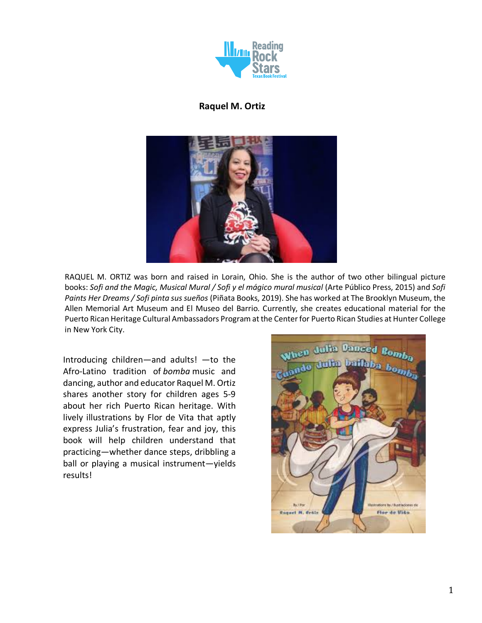

### **Raquel M. Ortiz**



RAQUEL M. ORTIZ was born and raised in Lorain, Ohio. She is the author of two other bilingual picture books: *Sofi and the Magic, Musical Mural / Sofi y el mágico mural musical* (Arte Público Press, 2015) and *Sofi Paints Her Dreams / Sofi pinta sus sueños* (Piñata Books, 2019). She has worked at The Brooklyn Museum, the Allen Memorial Art Museum and El Museo del Barrio. Currently, she creates educational material for the Puerto Rican Heritage Cultural Ambassadors Program at the Center for Puerto Rican Studies at Hunter College in New York City.

Introducing children—and adults! —to the Afro-Latino tradition of *bomba* music and dancing, author and educator Raquel M. Ortiz shares another story for children ages 5-9 about her rich Puerto Rican heritage. With lively illustrations by Flor de Vita that aptly express Julia's frustration, fear and joy, this book will help children understand that practicing—whether dance steps, dribbling a ball or playing a musical instrument—yields results!

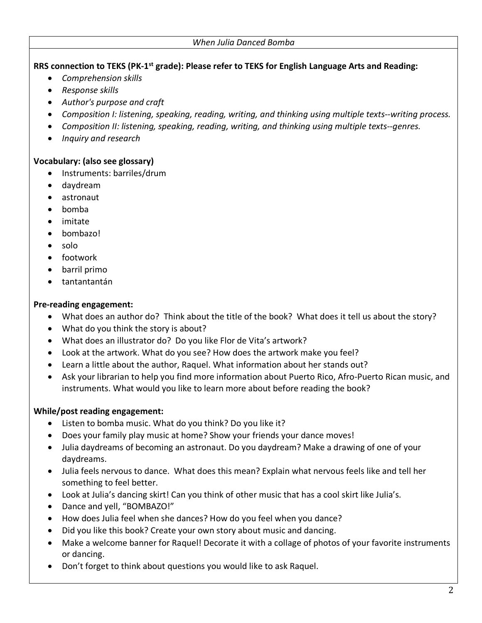#### **RRS connection to TEKS (PK-1st grade): Please refer to TEKS for English Language Arts and Reading:**

- *Comprehension skills*
- *Response skills*
- *Author's purpose and craft*
- *Composition I: listening, speaking, reading, writing, and thinking using multiple texts--writing process.*
- *Composition II: listening, speaking, reading, writing, and thinking using multiple texts--genres.*
- *Inquiry and research*

#### **Vocabulary: (also see glossary)**

- Instruments: barriles/drum
- daydream
- astronaut
- bomba
- imitate
- bombazo!
- solo
- footwork
- barril primo
- tantantantán

## **Pre-reading engagement:**

- What does an author do? Think about the title of the book? What does it tell us about the story?
- What do you think the story is about?
- What does an illustrator do? Do you like Flor de Vita's artwork?
- Look at the artwork. What do you see? How does the artwork make you feel?
- Learn a little about the author, Raquel. What information about her stands out?
- Ask your librarian to help you find more information about Puerto Rico, Afro-Puerto Rican music, and instruments. What would you like to learn more about before reading the book?

# **While/post reading engagement:**

- Listen to bomba music. What do you think? Do you like it?
- Does your family play music at home? Show your friends your dance moves!
- Julia daydreams of becoming an astronaut. Do you daydream? Make a drawing of one of your daydreams.
- Julia feels nervous to dance. What does this mean? Explain what nervous feels like and tell her something to feel better.
- Look at Julia's dancing skirt! Can you think of other music that has a cool skirt like Julia's.
- Dance and yell, "BOMBAZO!"
- How does Julia feel when she dances? How do you feel when you dance?
- Did you like this book? Create your own story about music and dancing.
- Make a welcome banner for Raquel! Decorate it with a collage of photos of your favorite instruments or dancing.
- Don't forget to think about questions you would like to ask Raquel.